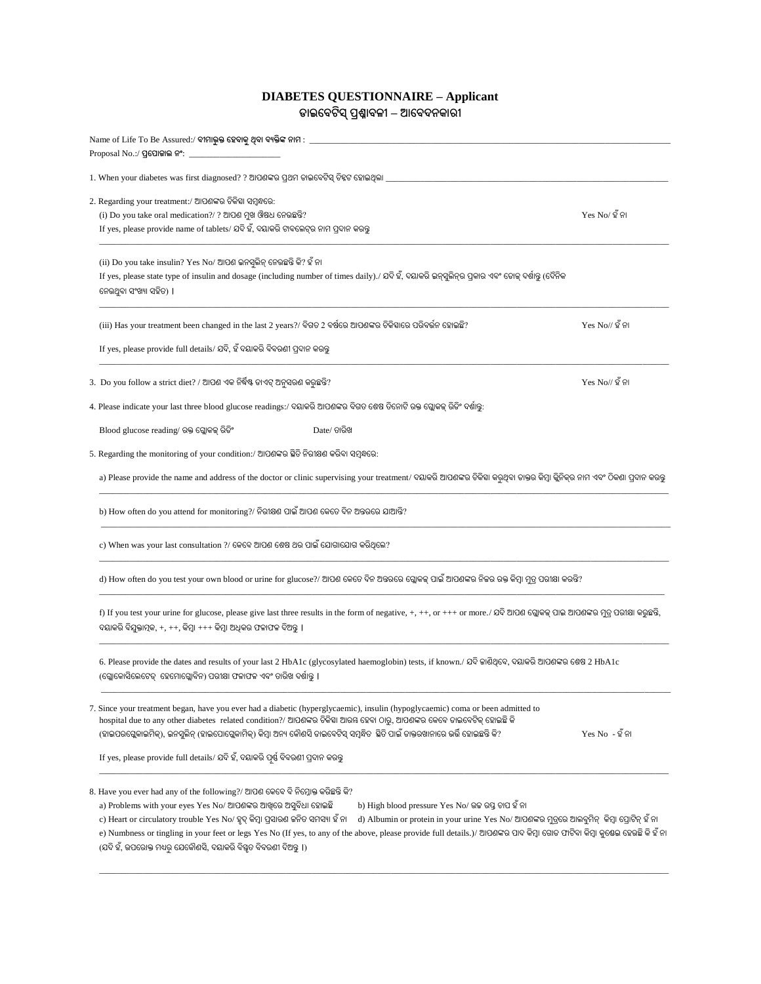## **DIABETES QUESTIONNAIRE – Applicant ଡାଇବେଟିସ୍ ପ୍ରଶ୍ନାେଳୀ – ଆବେଦନକାରୀ**

|                                                                                                                                                 | $\Delta$ Name of Life To Be Assured:/ ବୀମାଭୁକ୍ତ ହେବାକୁ ଥିବା ବ୍ୟକ୍ତିଙ୍କ ନାମ : $\_$                                                                                                                                                                                                                                                                                                                                                                                                                                                                                                                                                         |                          |
|-------------------------------------------------------------------------------------------------------------------------------------------------|-------------------------------------------------------------------------------------------------------------------------------------------------------------------------------------------------------------------------------------------------------------------------------------------------------------------------------------------------------------------------------------------------------------------------------------------------------------------------------------------------------------------------------------------------------------------------------------------------------------------------------------------|--------------------------|
|                                                                                                                                                 | Proposal No.:/ ପ୍ରପୋକାଲ ନଂ: $\_\_$                                                                                                                                                                                                                                                                                                                                                                                                                                                                                                                                                                                                        |                          |
|                                                                                                                                                 | 1. When your diabetes was first diagnosed? ? ଆପଶଙ୍କର ପ୍ରଥମ ଡାଇବେଟିସ୍ ଚିହ୍ନଟ ହୋଇଥିଲା _                                                                                                                                                                                                                                                                                                                                                                                                                                                                                                                                                     |                          |
|                                                                                                                                                 | 2. Regarding your treatment:/ ଆପଶଙ୍କର ଚିକିହା ସମ୍ବନ୍ଧରେ:<br>(i) Do you take oral medication?/ ? ଆପଶ ମୁଖ ଔଷଧ ନେଉଛନ୍ତି?<br>If yes, please provide name of tablets/ ଯଦି ହଁ, ଦୟାକରି ଟାବଲେଟ୍ର ନାମ ପ୍ରଦାନ କରନ୍ତୁ                                                                                                                                                                                                                                                                                                                                                                                                                                 | $Yes No/\tilde{2}$ ନା    |
|                                                                                                                                                 | (ii) Do you take insulin? Yes No/ ଆପଶ ଇନସୁଲିନ୍ ନେଉଛନ୍ତି କି? ହଁ ନା<br>If yes, please state type of insulin and dosage (including number of times daily)./ ଯଦି ହଁ, ଦୟାକରି ଇନ୍ସୁଲିନ୍ର ପ୍ରକାର ଏବଂ ଡୋକ୍ ଦର୍ଶାବୁ (ଦୈନିକ<br>ନେଉଥିବା ସଂଖ୍ୟା ସହିତ) ।                                                                                                                                                                                                                                                                                                                                                                                               |                          |
|                                                                                                                                                 | (iii) Has your treatment been changed in the last 2 years?/ ବିଗତ 2 ବର୍ଷରେ ଆପଶଙ୍କର ଚିକିହାରେ ପରିବର୍ତ୍ତନ ହୋଇଛି?                                                                                                                                                                                                                                                                                                                                                                                                                                                                                                                              | $Yes No// \mathbb{Q} ନା$ |
|                                                                                                                                                 | If yes, please provide full details/ ଯଦି, ହଁ ଦୟାକରି ବିବରଣୀ ପ୍ରଦାନ କରନ୍ତୁ                                                                                                                                                                                                                                                                                                                                                                                                                                                                                                                                                                  |                          |
|                                                                                                                                                 | 3. Do you follow a strict diet? / ଆପଶ ଏକ ନିର୍ଦ୍ଧିଷ୍ଟ ଡାଏଟ୍ ଅନୁସରଶ କରୁଛନ୍ତି?                                                                                                                                                                                                                                                                                                                                                                                                                                                                                                                                                               | $Yes No// \mathbb{Q} ନା$ |
|                                                                                                                                                 | 4. Please indicate your last three blood glucose readings:/ ଦୟାକରି ଆପଶଙ୍କର ବିଗତ ଶେଷ ତିନୋଟି ରକ୍ତ ଗ୍ଲୋକକ୍ ରିଡିଂ ଦର୍ଶାବୁ:                                                                                                                                                                                                                                                                                                                                                                                                                                                                                                                    |                          |
|                                                                                                                                                 | Blood glucose reading/ ରକ୍ତ ଗ୍ଲୋକକ୍ ରିଡିଂ<br>Date/ ତାରିଖ                                                                                                                                                                                                                                                                                                                                                                                                                                                                                                                                                                                  |                          |
|                                                                                                                                                 | 5. Regarding the monitoring of your condition:/ ଆପଶଙ୍କର ସ୍ଥିତି ନିରୀକ୍ଷଣ କରିବା ସମ୍ବନ୍ଧରେ:                                                                                                                                                                                                                                                                                                                                                                                                                                                                                                                                                  |                          |
|                                                                                                                                                 | a) Please provide the name and address of the doctor or clinic supervising your treatment/ ଦୟାକରି ଆପଶଙ୍କର ଚିକିହା କରୁଥିବା ଡାକ୍ତର କିମ୍ବା କ୍ଲିକିକ୍ର ନାମ ଏବଂ ଠିକଣା ପ୍ରଦାନ କରନ୍ତୁ                                                                                                                                                                                                                                                                                                                                                                                                                                                              |                          |
| b) How often do you attend for monitoring?/ ନିରୀକ୍ଷଣ ପାଇଁ ଆପଣ କେତେ ଦିନ ଅନ୍ତରରେ ଯାଆନ୍ତି?                                                         |                                                                                                                                                                                                                                                                                                                                                                                                                                                                                                                                                                                                                                           |                          |
|                                                                                                                                                 | c) When was your last consultation ?/ କେବେ ଆପଶ ଶେଷ ଥର ପାଇଁ ଯୋଗାଯୋଗ କରିଥିଲେ?                                                                                                                                                                                                                                                                                                                                                                                                                                                                                                                                                               |                          |
| d) How often do you test your own blood or urine for glucose?/ ଆପଣ କେତେ ଦିନ ଅନ୍ତରରେ ଗ୍ଲୋକକ୍ ପାଇଁ ଆପଶଙ୍କର ନିଜର ରକ୍ତ କିମ୍ବା ମୁତ୍ର ପରୀକ୍ଷା କରନ୍ତି? |                                                                                                                                                                                                                                                                                                                                                                                                                                                                                                                                                                                                                                           |                          |
|                                                                                                                                                 | f) If you test your urine for glucose, please give last three results in the form of negative, +, ++, or +++ or more./ ଯଦି ଆପଣ ଗ୍ଲୋକକ୍ ପାଇ ଆପଶଙ୍କର ମୃତ୍ର ପରାକ୍ଷା କରୁଛନ୍ତି,<br>ଦୟାକରି ବିଯୁକ୍ତାତ୍ମକ, +, ++, କିମ୍ବା +++ କିମ୍ବା ଅଧିକର ଫଳାଫଳ ଦିଅନ୍ତୁ ।                                                                                                                                                                                                                                                                                                                                                                                         |                          |
|                                                                                                                                                 | 6. Please provide the dates and results of your last 2 HbA1c (glycosylated haemoglobin) tests, if known./ ଯଦି କାଶିଥିବେ, ଦୟାକରି ଆପଶଙ୍କର ଶେଷ 2 HbA1c<br>(ଗ୍ଲୋକୋସିଲେଟେଡ୍  ହେମୋଗ୍ଲୋବିନ) ପରୀକ୍ଷା ଫଳାଫଳ ଏବଂ ଡାରିଖ ଦର୍ଶାନ୍ତୁ ।                                                                                                                                                                                                                                                                                                                                                                                                                   |                          |
|                                                                                                                                                 | 7. Since your treatment began, have you ever had a diabetic (hyperglycaemic), insulin (hypoglycaemic) coma or been admitted to<br>hospital due to any other diabetes related condition?/ ଆପଶଙ୍କର ଚିକିହା ଆରୟ ହେବା ଠାରୁ, ଆପଶଙ୍କର କେବେ ଡାଇବେଟିକ୍ ହୋଇଛି କି<br>(ହାଇପରଗ୍ଲେକାଇମିକ୍), ଇନସୁଲିନ୍ (ହାଇପୋଗ୍ଲେକାମିକ୍) କିମ୍ବା ଅନ୍ୟ କୌଣସି ଡାଇବେଟିସ୍ ସମ୍ବନ୍ଧିତ  ସ୍ଥିତି ପାଇଁ ଡାକ୍ତରଖାନାରେ ଭର୍ତ୍ତି ହୋଇଛନ୍ତି କି?                                                                                                                                                                                                                                             | $Yes No - \mathbb{Q} ନା$ |
|                                                                                                                                                 | If yes, please provide full details/ ଯଦି ହଁ, ଦୟାକରି ପୂର୍ଷ ବିବରଣୀ ପ୍ରଦାନ କରନ୍ତୁ                                                                                                                                                                                                                                                                                                                                                                                                                                                                                                                                                            |                          |
|                                                                                                                                                 | 8. Have you ever had any of the following?/ ଆପଶ କେବେ ବି ନିମ୍ନୋକ୍ତ କରିଛନ୍ତି କି?<br>b) High blood pressure Yes No/ ଉଚ୍ଚ ରପ୍ତ ଚାପ ହଁ ନା<br>a) Problems with your eyes Yes No/ ଆପଶଙ୍କର ଆଖିରେ ଅସୁବିଧା ହୋଇଛି<br>c) Heart or circulatory trouble Yes No/ ହୃଦ୍ କିମ୍ବା ପ୍ରସାରଶ କନିତ ସମସ୍ୟା ହଁ ନା<br>d) Albumin or protein in your urine Yes No/ ଆପଶଙ୍କର ମୁତ୍ରରେ ଆଲବୁମିନ୍ କିମ୍ବା ପ୍ରୋଟିନ୍ ହଁ ନା<br>e) Numbness or tingling in your feet or legs Yes No (If yes, to any of the above, please provide full details.)/ ଆପଶଙ୍କର ପାଦ କିମ୍ବା ଗୋଡ ଫାଟିବା କିମ୍ବା କ୍ରଣେଇ ହେଉଛି କି ହଁ ନା<br>(ଯଦି ହଁ, ଉପରୋକ୍ତ ମଧ୍ୟରୁ ଯେକୌଣସି, ଦୟାକରି ବିଷ୍କୃତ ବିବରଣୀ ଦିଅନ୍ତୁ ।) |                          |

\_\_\_\_\_\_\_\_\_\_\_\_\_\_\_\_\_\_\_\_\_\_\_\_\_\_\_\_\_\_\_\_\_\_\_\_\_\_\_\_\_\_\_\_\_\_\_\_\_\_\_\_\_\_\_\_\_\_\_\_\_\_\_\_\_\_\_\_\_\_\_\_\_\_\_\_\_\_\_\_\_\_\_\_\_\_\_\_\_\_\_\_\_\_\_\_\_\_\_\_\_\_\_\_\_\_\_\_\_\_\_\_\_\_\_\_\_\_\_\_\_\_\_\_\_\_\_\_\_\_\_